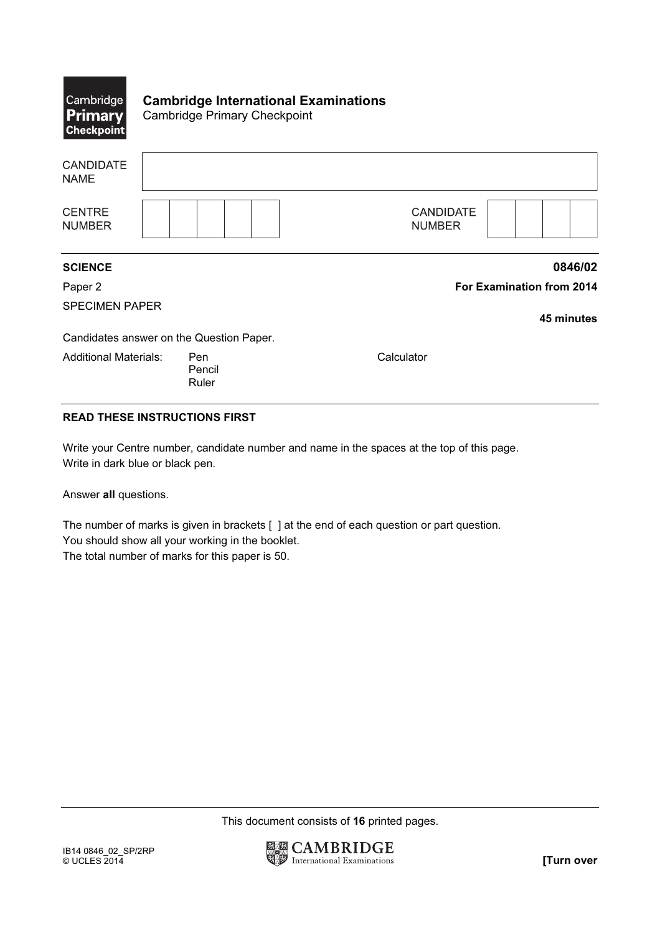| $ \mathsf{Cambridge} $<br><b>Primary</b><br><b>Checkpoint</b> | <b>Cambridge International Examinations</b><br><b>Cambridge Primary Checkpoint</b> |                                   |
|---------------------------------------------------------------|------------------------------------------------------------------------------------|-----------------------------------|
| <b>CANDIDATE</b><br><b>NAME</b>                               |                                                                                    |                                   |
| <b>CENTRE</b><br><b>NUMBER</b>                                |                                                                                    | <b>CANDIDATE</b><br><b>NUMBER</b> |
| <b>SCIENCE</b>                                                |                                                                                    | 0846/02                           |
| Paper 2                                                       |                                                                                    | <b>For Examination from 2014</b>  |
| <b>SPECIMEN PAPER</b>                                         |                                                                                    | 45 minutes                        |
|                                                               | Candidates answer on the Question Paper.                                           |                                   |
| <b>Additional Materials:</b>                                  | Pen<br>Pencil<br>Ruler                                                             | Calculator                        |

## READ THESE INSTRUCTIONS FIRST

Write your Centre number, candidate number and name in the spaces at the top of this page. Write in dark blue or black pen.

Answer all questions.

The number of marks is given in brackets [ ] at the end of each question or part question. You should show all your working in the booklet. The total number of marks for this paper is 50.

This document consists of 16 printed pages.

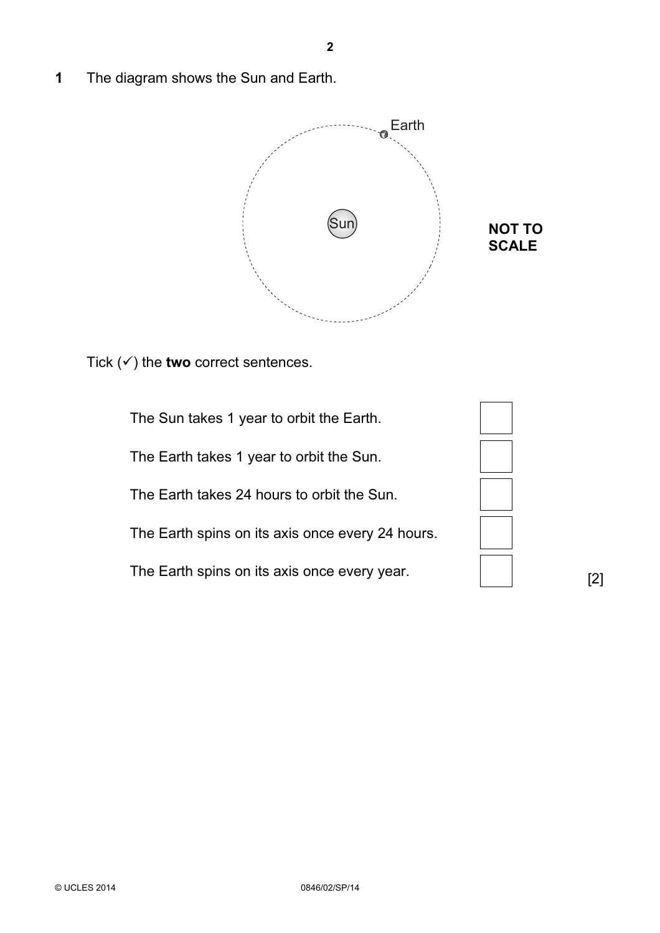1 The diagram shows the Sun and Earth.



Tick  $(\checkmark)$  the two correct sentences.

 The Sun takes 1 year to orbit the Earth. The Earth takes 1 year to orbit the Sun. The Earth takes 24 hours to orbit the Sun. The Earth spins on its axis once every 24 hours. The Earth spins on its axis once every year.

[2]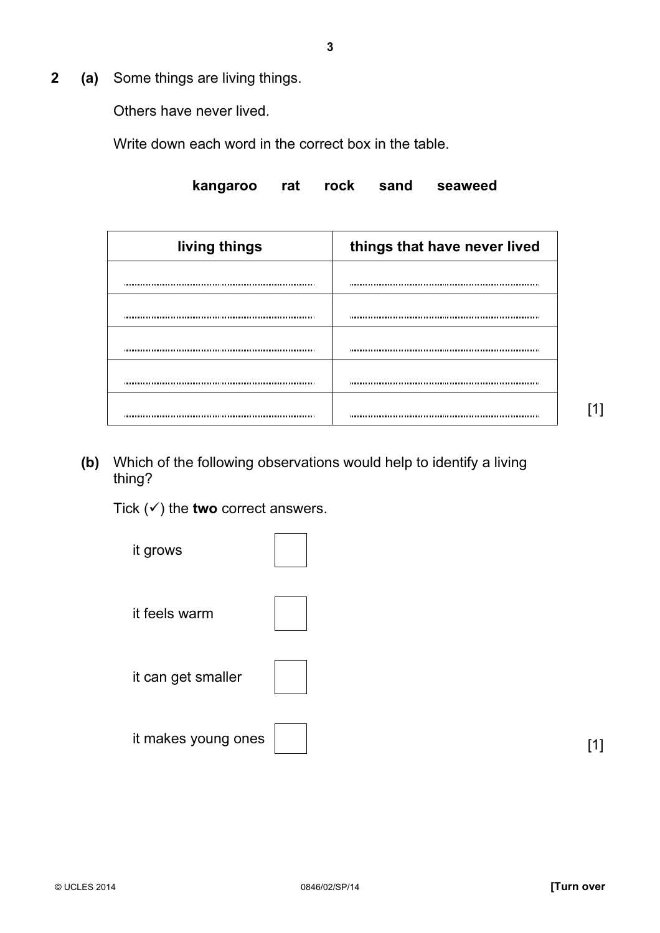2 (a) Some things are living things.

Others have never lived.

Write down each word in the correct box in the table.

kangaroo rat rock sand seaweed

| living things | things that have never lived |  |  |
|---------------|------------------------------|--|--|
|               |                              |  |  |
|               |                              |  |  |
|               |                              |  |  |
|               |                              |  |  |
|               |                              |  |  |
|               |                              |  |  |

(b) Which of the following observations would help to identify a living thing?

Tick  $(\checkmark)$  the two correct answers.



[1]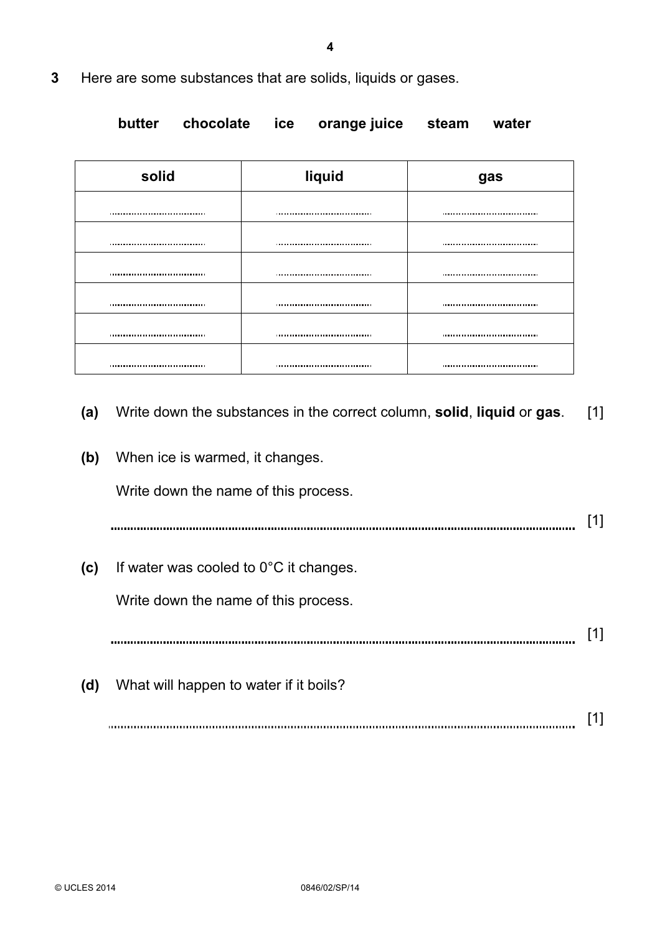3 Here are some substances that are solids, liquids or gases.

butter chocolate ice orange juice steam water

| solid                                | liquid                               | gas                                  |  |
|--------------------------------------|--------------------------------------|--------------------------------------|--|
| ,,,,,,,,,,,,,,,,,,,,,,,,,,,,,,,,,,,, |                                      | ,,,,,,,,,,,,,,,,,,,,,,,,,,,,,,,,,,,, |  |
|                                      |                                      |                                      |  |
|                                      |                                      |                                      |  |
|                                      |                                      |                                      |  |
|                                      |                                      |                                      |  |
|                                      |                                      |                                      |  |
| ,,,,,,,,,,,,,,,,,,,,,,,,,,,,,,,,,,,  | ,,,,,,,,,,,,,,,,,,,,,,,,,,,,,,,,,,,, | ,,,,,,,,,,,,,,,,,,,,,,,,,,,,,,,,,,,, |  |

- (a) Write down the substances in the correct column, solid, liquid or gas. [1]
- (b) When ice is warmed, it changes.

Write down the name of this process.

[1]

(c) If water was cooled to  $0^{\circ}$ C it changes.

Write down the name of this process.

[1] 

(d) What will happen to water if it boils?

[1]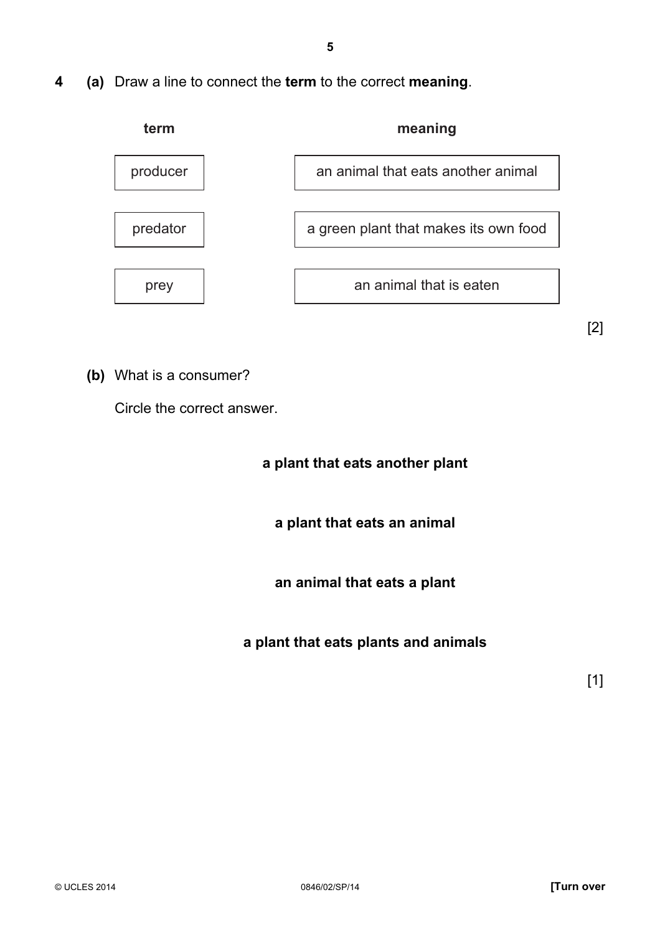4 (a) Draw a line to connect the term to the correct meaning.



(b) What is a consumer?

Circle the correct answer.

a plant that eats another plant

a plant that eats an animal

an animal that eats a plant

a plant that eats plants and animals

 $\begin{bmatrix} 1 \end{bmatrix}$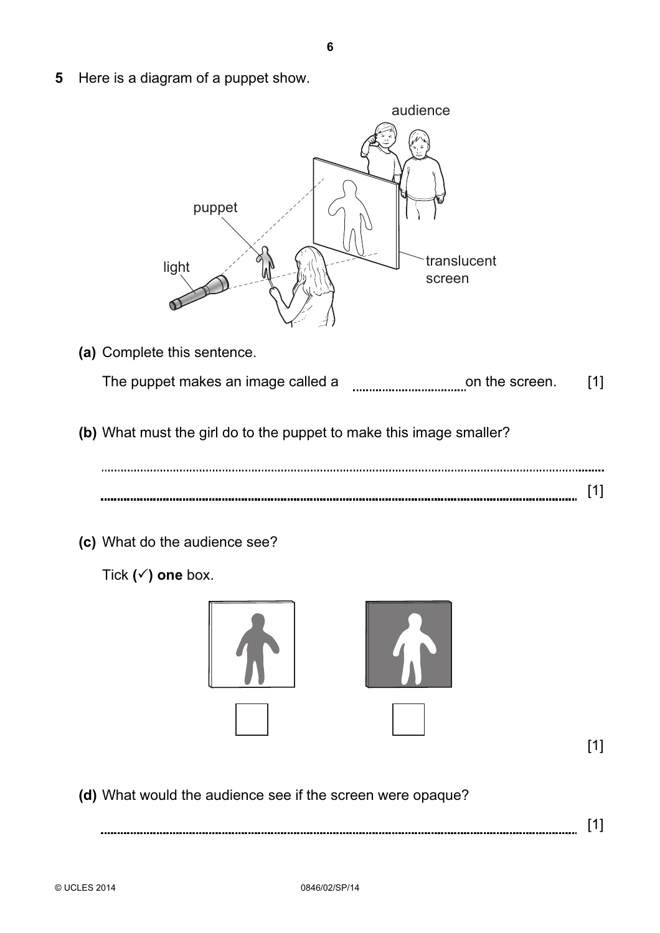5 Here is a diagram of a puppet show.



- (a) Complete this sentence. The puppet makes an image called a **manual continuum** on the screen. [1]
- (b) What must the girl do to the puppet to make this image smaller?

(c) What do the audience see?

Tick  $(\checkmark)$  one box.



[1]

(d) What would the audience see if the screen were opaque?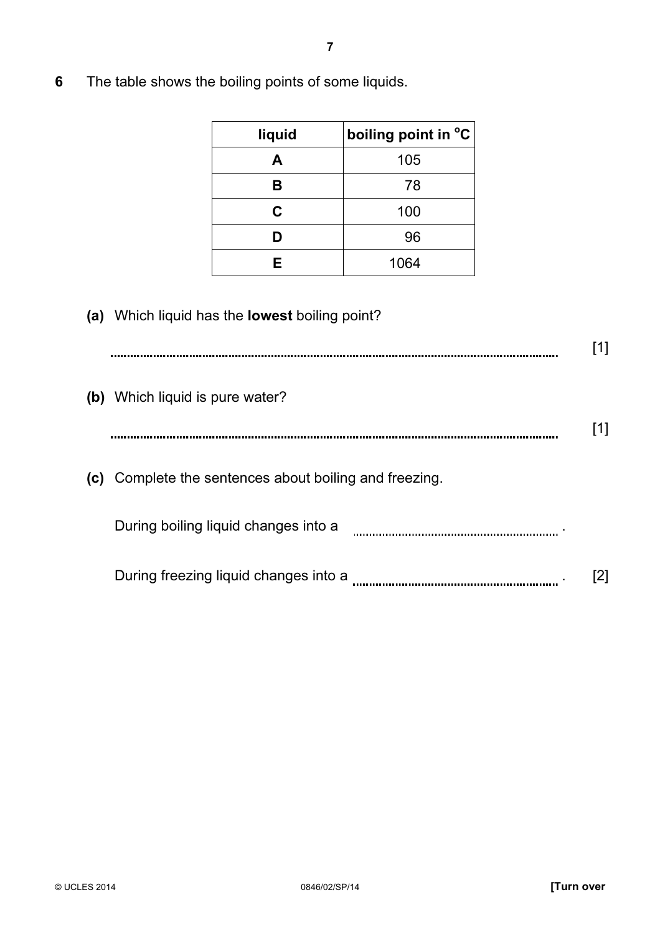| liquid | boiling point in °C |
|--------|---------------------|
| A      | 105                 |
| в      | 78                  |
| C      | 100                 |
| D      | 96                  |
| F      | 1064                |

6 The table shows the boiling points of some liquids.

## (a) Which liquid has the lowest boiling point?

| (b) Which liquid is pure water?                        |  |
|--------------------------------------------------------|--|
|                                                        |  |
| (c) Complete the sentences about boiling and freezing. |  |
| During boiling liquid changes into a                   |  |
| During freezing liquid changes into a                  |  |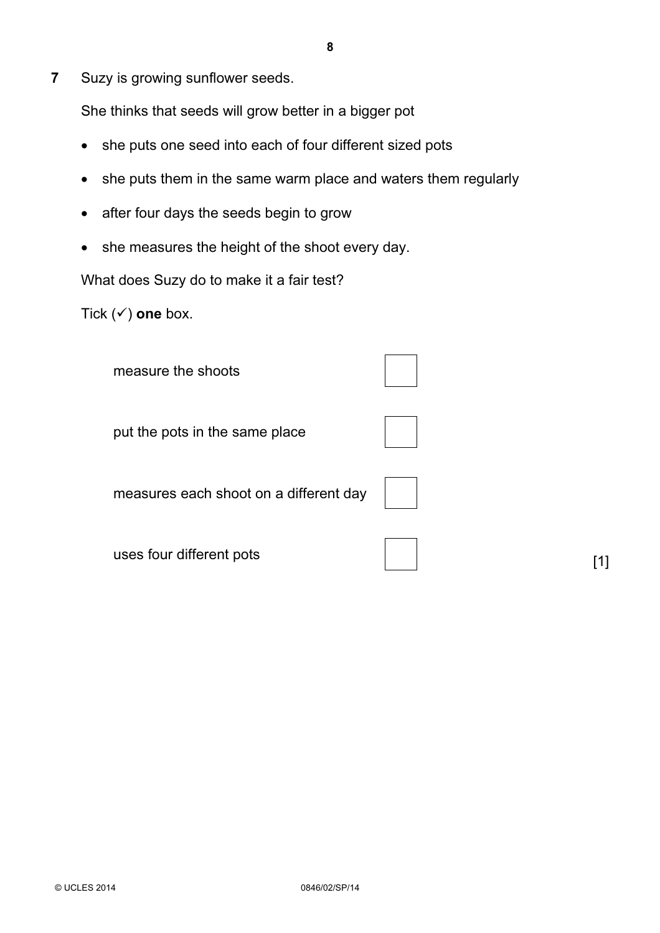7 Suzy is growing sunflower seeds.

She thinks that seeds will grow better in a bigger pot

- she puts one seed into each of four different sized pots
- she puts them in the same warm place and waters them regularly
- after four days the seeds begin to grow
- she measures the height of the shoot every day.

What does Suzy do to make it a fair test?

Tick  $(\checkmark)$  one box.

measure the shoots

put the pots in the same place

measures each shoot on a different day

uses four different pots  $[1]$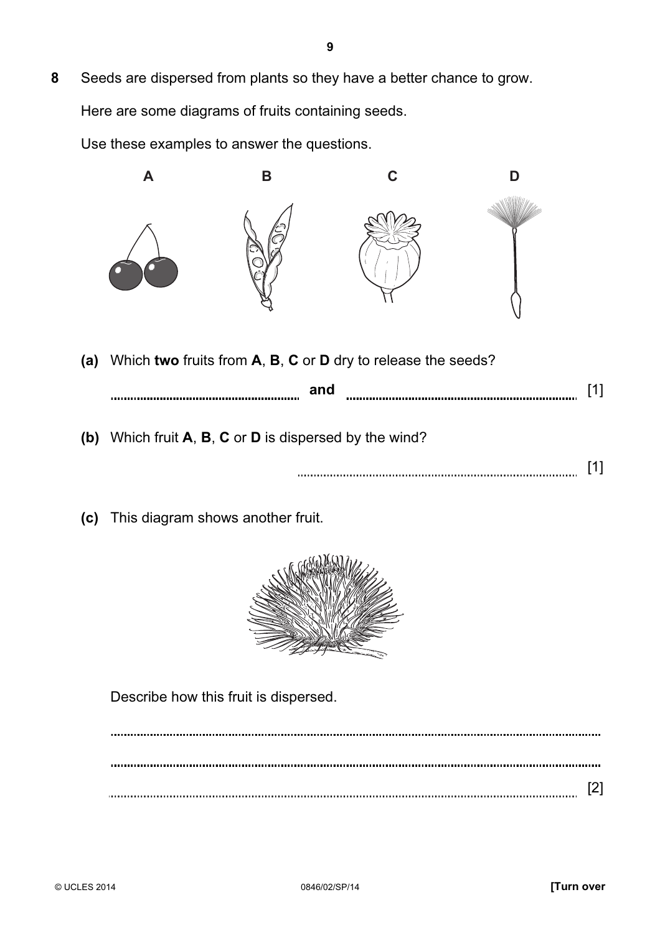8 Seeds are dispersed from plants so they have a better chance to grow. Here are some diagrams of fruits containing seeds.

Use these examples to answer the questions.



(a) Which two fruits from A, B, C or D dry to release the seeds?

| and                                                              |  |
|------------------------------------------------------------------|--|
| (b) Which fruit $A$ , $B$ , $C$ or $D$ is dispersed by the wind? |  |
|                                                                  |  |

(c) This diagram shows another fruit.



Describe how this fruit is dispersed.

[2]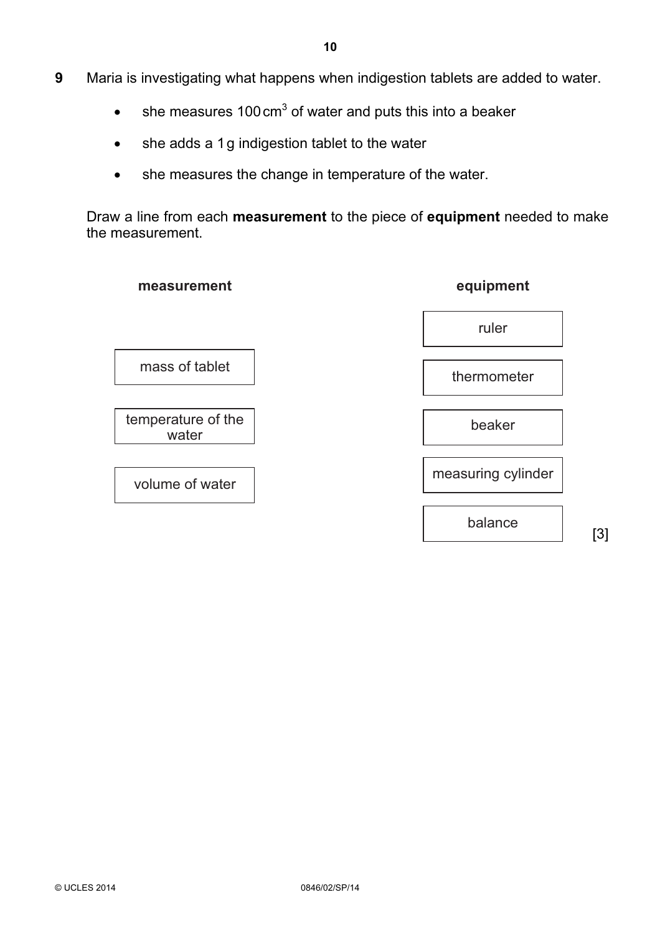- 9 Maria is investigating what happens when indigestion tablets are added to water.
	- she measures 100 cm<sup>3</sup> of water and puts this into a beaker
	- she adds a 1g indigestion tablet to the water
	- she measures the change in temperature of the water.

Draw a line from each measurement to the piece of equipment needed to make the measurement.

| measurement                 | equipment          |
|-----------------------------|--------------------|
|                             | ruler              |
| mass of tablet              | thermometer        |
| temperature of the<br>water | beaker             |
| volume of water             | measuring cylinder |
|                             |                    |

balance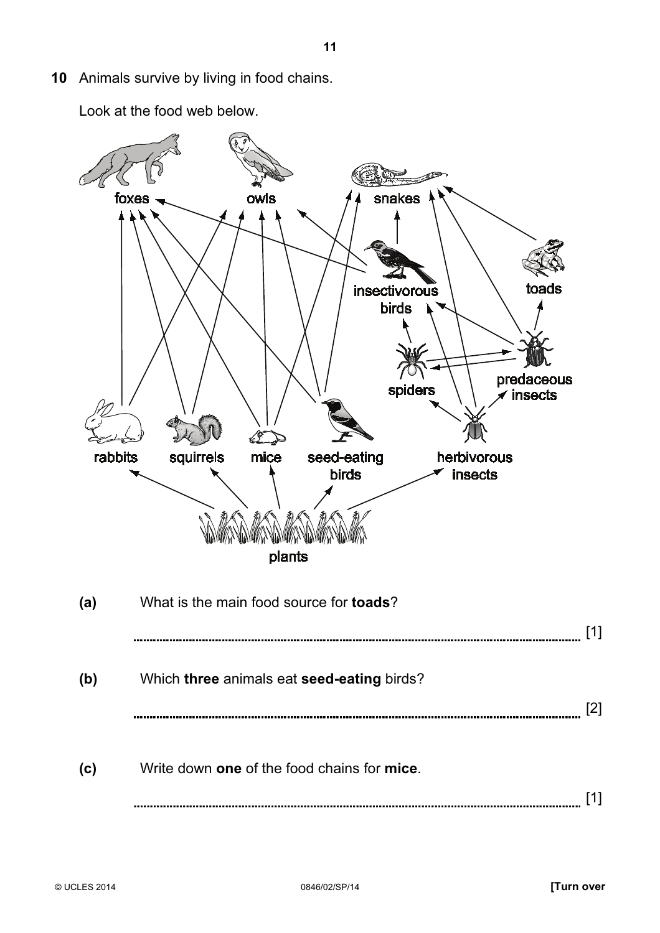10 Animals survive by living in food chains.

Look at the food web below.

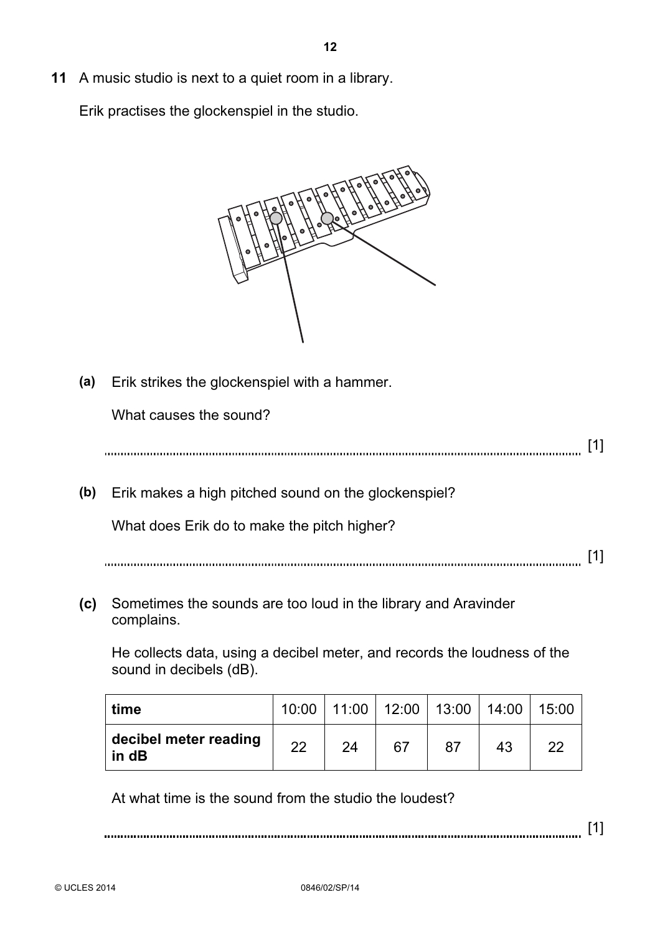11 A music studio is next to a quiet room in a library.

Erik practises the glockenspiel in the studio.



(a) Erik strikes the glockenspiel with a hammer.

What causes the sound?

[1]

(b) Erik makes a high pitched sound on the glockenspiel?

What does Erik do to make the pitch higher?

[1]

 (c) Sometimes the sounds are too loud in the library and Aravinder complains.

He collects data, using a decibel meter, and records the loudness of the sound in decibels (dB).

| time                           | 10:00 | 11:00 | $12:00$ | 13:00 | 14:00 | 15:00 |
|--------------------------------|-------|-------|---------|-------|-------|-------|
| decibel meter reading<br>in dB | 22    | 24    | 67      |       | 43    | ററ    |

At what time is the sound from the studio the loudest?

[1]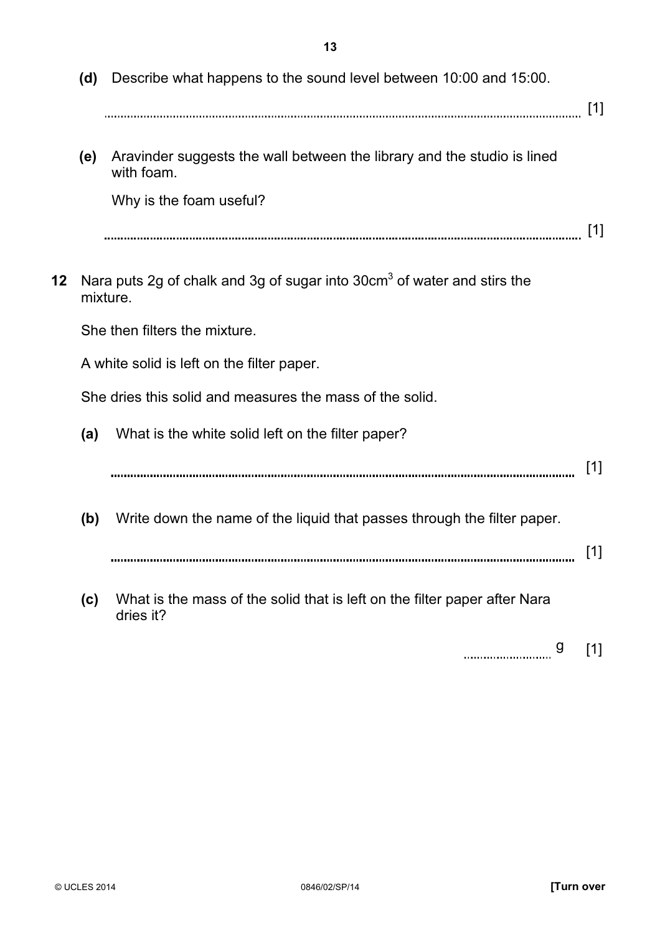(d) Describe what happens to the sound level between 10:00 and 15:00. [1] (e) Aravinder suggests the wall between the library and the studio is lined with foam. Why is the foam useful? [1] 12 Nara puts 2g of chalk and 3g of sugar into  $30 \text{cm}^3$  of water and stirs the mixture. She then filters the mixture. A white solid is left on the filter paper. She dries this solid and measures the mass of the solid. (a) What is the white solid left on the filter paper? [1] (b) Write down the name of the liquid that passes through the filter paper. [1] (c) What is the mass of the solid that is left on the filter paper after Nara dries it?

g [1]

13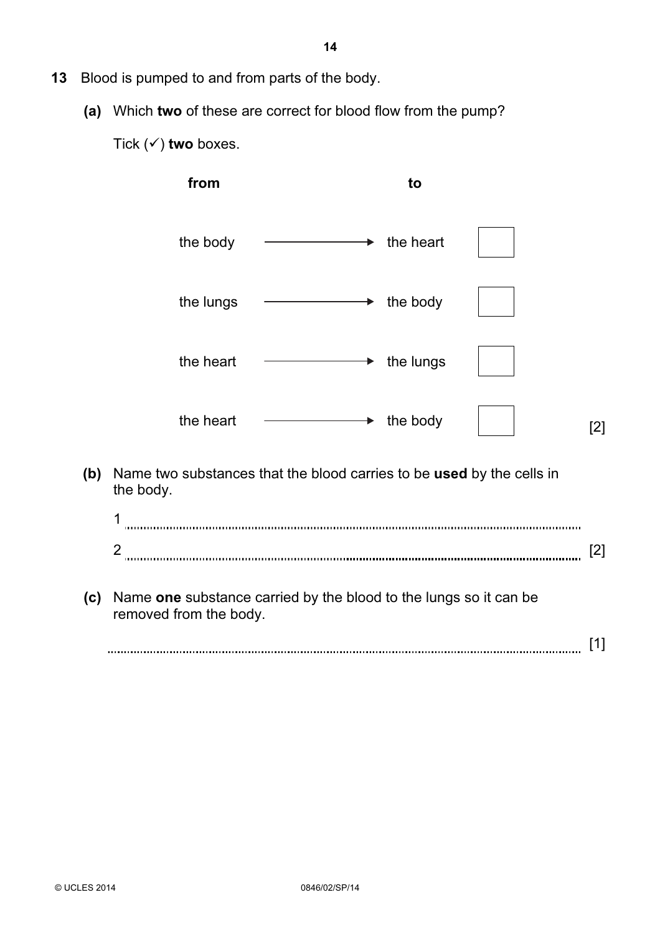(a) Which two of these are correct for blood flow from the pump?

Tick  $(\checkmark)$  two boxes.

|     | from                   | to                                                                    |     |
|-----|------------------------|-----------------------------------------------------------------------|-----|
|     | the body               | $\rightarrow$ the heart                                               |     |
|     | the lungs              | $\rightarrow$ the body                                                |     |
|     | the heart              | $\rightarrow$ the lungs                                               |     |
|     | the heart              | $\rightarrow$ the body                                                | [2] |
| (b) | the body.              | Name two substances that the blood carries to be used by the cells in |     |
|     | 1<br>$\overline{2}$    |                                                                       | [2] |
| (c) | removed from the body. | Name one substance carried by the blood to the lungs so it can be     |     |
|     |                        |                                                                       | [1] |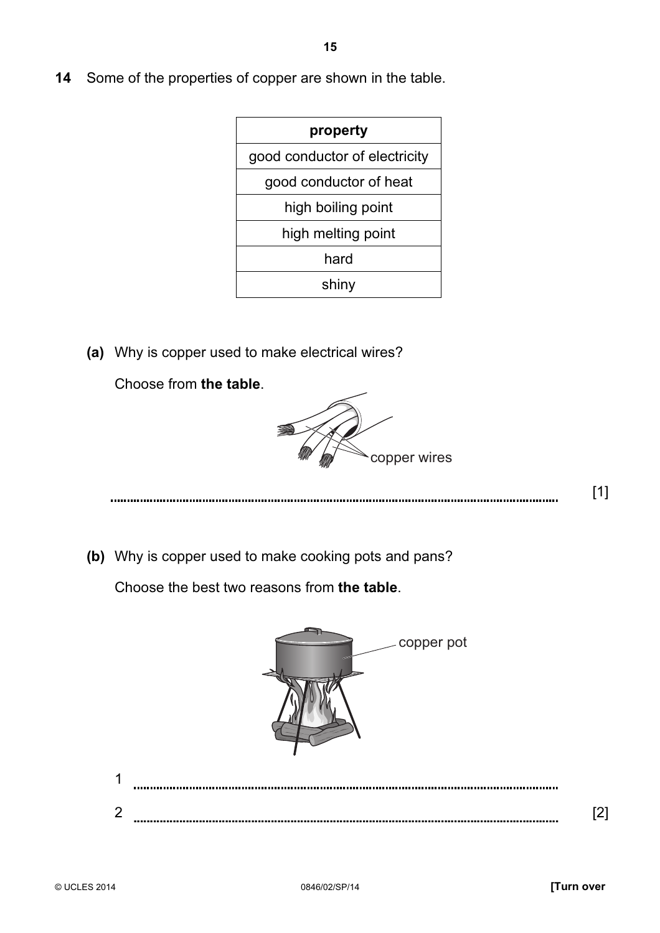14 Some of the properties of copper are shown in the table.

| property                      |
|-------------------------------|
| good conductor of electricity |
| good conductor of heat        |
| high boiling point            |
| high melting point            |
| hard                          |
| shiny                         |

(a) Why is copper used to make electrical wires?

Choose from the table.



 $\begin{bmatrix} 1 \end{bmatrix}$ 

(b) Why is copper used to make cooking pots and pans?

Choose the best two reasons from the table.